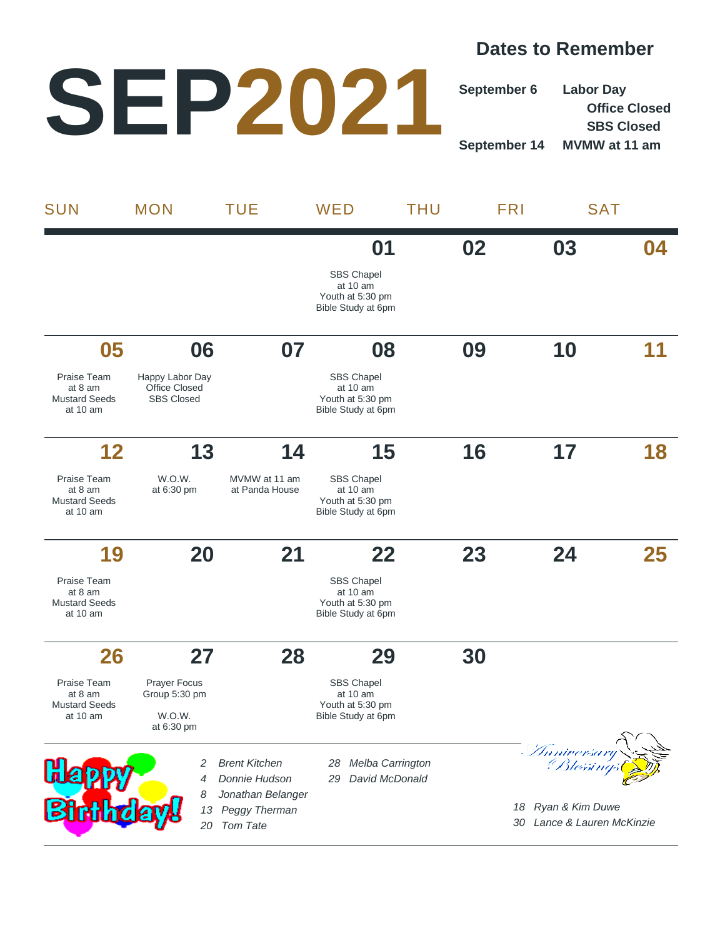## **Dates to Remember**

## **SEP2021**

**September 6 Labor Day Office Closed SBS Closed September 14 MVMW at 11 am**

| <b>SUN</b>                                                                 | <b>MON</b>                                                                   | <b>TUE</b>                                                                                     | WED                                                                                     | <b>THU</b> | <b>FRI</b>                                                                        | <b>SAT</b> |
|----------------------------------------------------------------------------|------------------------------------------------------------------------------|------------------------------------------------------------------------------------------------|-----------------------------------------------------------------------------------------|------------|-----------------------------------------------------------------------------------|------------|
|                                                                            |                                                                              |                                                                                                | 01<br><b>SBS Chapel</b><br>at 10 am<br>Youth at 5:30 pm<br>Bible Study at 6pm           | 02         | 03                                                                                | 04         |
| 05<br>Praise Team<br>at 8 am<br><b>Mustard Seeds</b><br>at 10 am           | 06<br>Happy Labor Day<br><b>Office Closed</b><br><b>SBS Closed</b>           | 07                                                                                             | 08<br><b>SBS Chapel</b><br>at 10 am<br>Youth at 5:30 pm<br>Bible Study at 6pm           | 09         | 10                                                                                |            |
| 12<br>Praise Team<br>at 8 am<br><b>Mustard Seeds</b><br>at $10 \text{ am}$ | 13<br>W.O.W.<br>at 6:30 pm                                                   | 14<br>MVMW at 11 am<br>at Panda House                                                          | 15<br><b>SBS Chapel</b><br>at $10 \text{ am}$<br>Youth at 5:30 pm<br>Bible Study at 6pm | 16         | 17                                                                                | 18         |
| 19<br>Praise Team<br>at 8 am<br><b>Mustard Seeds</b><br>at 10 am           | 20                                                                           | 21                                                                                             | 22<br><b>SBS Chapel</b><br>at 10 am<br>Youth at 5:30 pm<br>Bible Study at 6pm           | 23         | 24                                                                                | 25         |
| 26<br>Praise Team<br>at 8 am<br><b>Mustard Seeds</b><br>at 10 am           | 27<br><b>Prayer Focus</b><br>Group 5:30 pm<br>W.O.W.<br>at $6.30 \text{ pm}$ | 28                                                                                             | 29<br><b>SBS Chapel</b><br>at 10 am<br>Youth at 5:30 pm<br>Bible Study at 6pm           | 30         |                                                                                   |            |
| <u>a</u><br><b>Birthday</b>                                                | 2<br>4<br>8<br>13<br>20                                                      | <b>Brent Kitchen</b><br>Donnie Hudson<br>Jonathan Belanger<br>Peggy Therman<br><b>Tom Tate</b> | Melba Carrington<br>28<br>David McDonald<br>29                                          |            | - Thmiversary<br>Blessings<br>18 Ryan & Kim Duwe<br>Lance & Lauren McKinzie<br>30 |            |